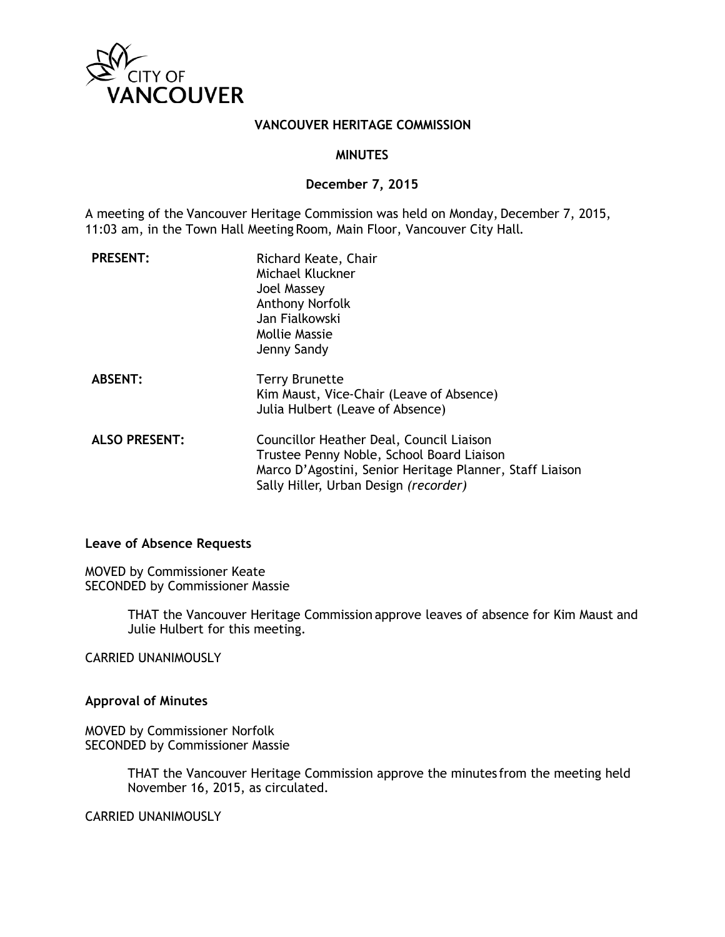

#### **VANCOUVER HERITAGE COMMISSION**

#### **MINUTES**

#### **December 7, 2015**

A meeting of the Vancouver Heritage Commission was held on Monday, December 7, 2015, 11:03 am, in the Town Hall Meeting Room, Main Floor, Vancouver City Hall.

| <b>PRESENT:</b>      | Richard Keate, Chair<br>Michael Kluckner<br>Joel Massey<br><b>Anthony Norfolk</b><br>Jan Fialkowski<br>Mollie Massie<br>Jenny Sandy                                                        |
|----------------------|--------------------------------------------------------------------------------------------------------------------------------------------------------------------------------------------|
| <b>ABSENT:</b>       | <b>Terry Brunette</b><br>Kim Maust, Vice-Chair (Leave of Absence)<br>Julia Hulbert (Leave of Absence)                                                                                      |
| <b>ALSO PRESENT:</b> | Councillor Heather Deal, Council Liaison<br>Trustee Penny Noble, School Board Liaison<br>Marco D'Agostini, Senior Heritage Planner, Staff Liaison<br>Sally Hiller, Urban Design (recorder) |

#### **Leave of Absence Requests**

MOVED by Commissioner Keate SECONDED by Commissioner Massie

> THAT the Vancouver Heritage Commission approve leaves of absence for Kim Maust and Julie Hulbert for this meeting.

CARRIED UNANIMOUSLY

**Approval of Minutes**

MOVED by Commissioner Norfolk SECONDED by Commissioner Massie

> THAT the Vancouver Heritage Commission approve the minutes from the meeting held November 16, 2015, as circulated.

CARRIED UNANIMOUSLY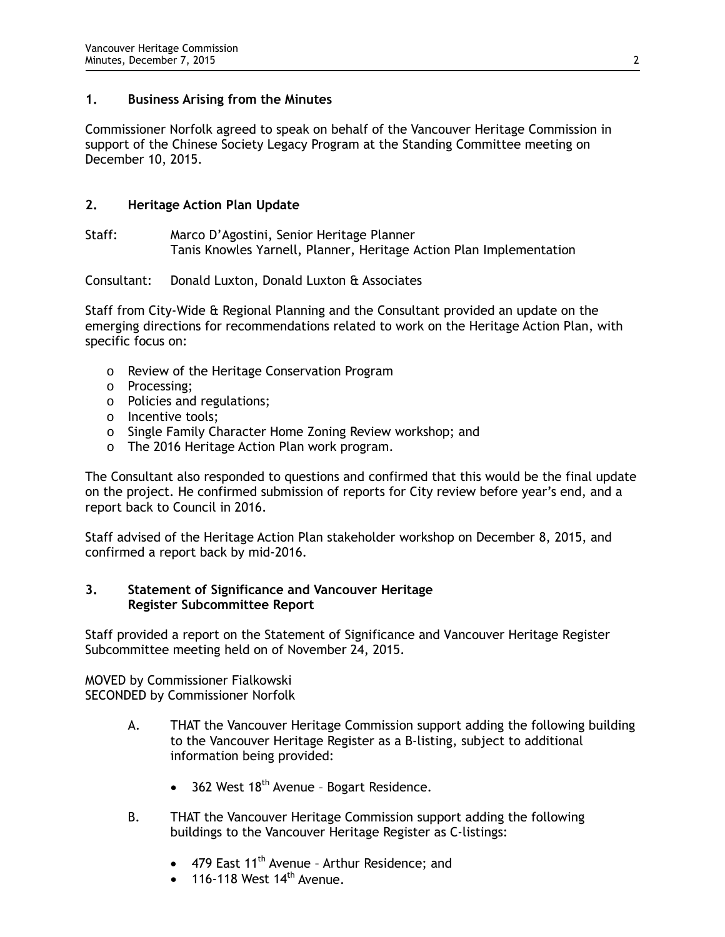# **1. Business Arising from the Minutes**

Commissioner Norfolk agreed to speak on behalf of the Vancouver Heritage Commission in support of the Chinese Society Legacy Program at the Standing Committee meeting on December 10, 2015.

# **2. Heritage Action Plan Update**

Staff: Marco D'Agostini, Senior Heritage Planner Tanis Knowles Yarnell, Planner, Heritage Action Plan Implementation

# Consultant: Donald Luxton, Donald Luxton & Associates

Staff from City-Wide & Regional Planning and the Consultant provided an update on the emerging directions for recommendations related to work on the Heritage Action Plan, with specific focus on:

- o Review of the Heritage Conservation Program
- o Processing;
- o Policies and regulations;
- o Incentive tools;
- o Single Family Character Home Zoning Review workshop; and
- o The 2016 Heritage Action Plan work program.

The Consultant also responded to questions and confirmed that this would be the final update on the project. He confirmed submission of reports for City review before year's end, and a report back to Council in 2016.

Staff advised of the Heritage Action Plan stakeholder workshop on December 8, 2015, and confirmed a report back by mid-2016.

# **3. Statement of Significance and Vancouver Heritage Register Subcommittee Report**

Staff provided a report on the Statement of Significance and Vancouver Heritage Register Subcommittee meeting held on of November 24, 2015.

MOVED by Commissioner Fialkowski SECONDED by Commissioner Norfolk

- A. THAT the Vancouver Heritage Commission support adding the following building to the Vancouver Heritage Register as a B-listing, subject to additional information being provided:
	- $\bullet$  362 West 18<sup>th</sup> Avenue Bogart Residence.
- B. THAT the Vancouver Heritage Commission support adding the following buildings to the Vancouver Heritage Register as C-listings:
	- 479 East  $11<sup>th</sup>$  Avenue Arthur Residence; and
	- $\bullet$  116-118 West 14<sup>th</sup> Avenue.